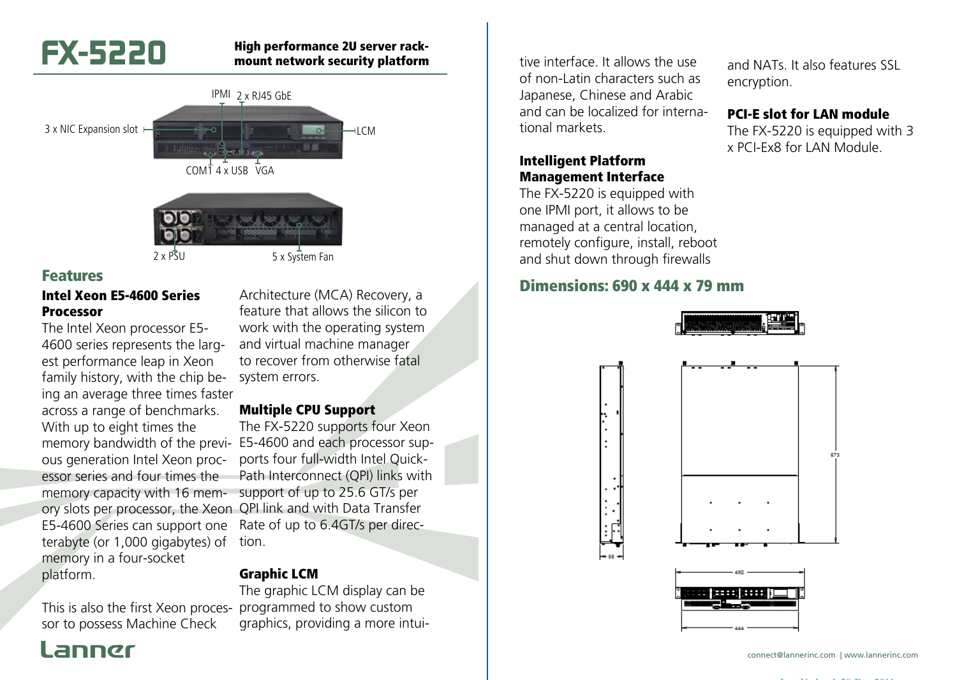# **FX-5220**

#### High performance 2U server rackmount network security platform



#### Features

#### Intel Xeon E5-4600 Series Processor

The Intel Xeon processor E5- 4600 series represents the largest performance leap in Xeon family history, with the chip being an average three times faster across a range of benchmarks. With up to eight times the ous generation Intel Xeon processor series and four times the memory capacity with 16 memory slots per processor, the Xeon QPI link and with Data Transfer E5-4600 Series can support one terabyte (or 1,000 gigabytes) of memory in a four-socket platform.

This is also the first Xeon proces-programmed to show custom sor to possess Machine Check

Architecture (MCA) Recovery, a feature that allows the silicon to work with the operating system and virtual machine manager to recover from otherwise fatal system errors.

#### Multiple CPU Support

memory bandwidth of the previ-E5-4600 and each processor sup-The FX-5220 supports four Xeon ports four full-width Intel Quick-Path Interconnect (QPI) links with support of up to 25.6 GT/s per Rate of up to 6.4GT/s per direction.

#### Graphic LCM

The graphic LCM display can be graphics, providing a more intui-

tive interface. It allows the use of non-Latin characters such as Japanese, Chinese and Arabic and can be localized for international markets.

#### Intelligent Platform Management Interface

The FX-5220 is equipped with one IPMI port, it allows to be managed at a central location, remotely configure, install, reboot and shut down through firewalls

#### Dimensions: 690 x 444 x 79 mm



connect@lannerinc.com | www.lannerinc.com

and NATs. It also features SSL

PCI-E slot for LAN module The FX-5220 is equipped with 3 x PCI-Ex8 for LAN Module.

encryption.

Last Updated: 28-Dec-2011

## l annør